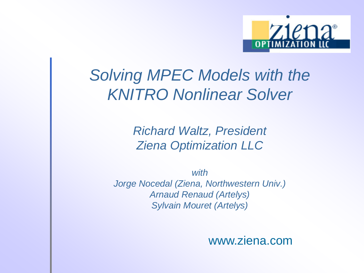

### *Solving MPEC Models with the KNITRO Nonlinear Solver*

*Richard Waltz, President Ziena Optimization LLC*

*with Jorge Nocedal (Ziena, Northwestern Univ.) Arnaud Renaud (Artelys) Sylvain Mouret (Artelys)*

www.ziena.com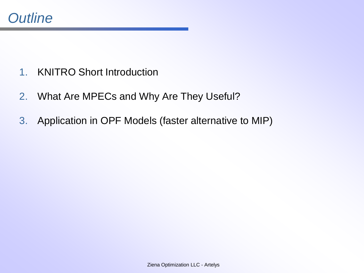- 1. KNITRO Short Introduction
- 2. What Are MPECs and Why Are They Useful?
- 3. Application in OPF Models (faster alternative to MIP)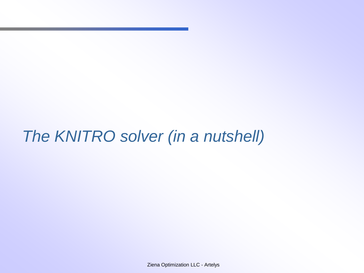### *The KNITRO solver (in a nutshell)*

Ziena Optimization LLC - Artelys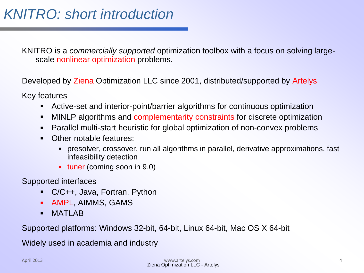KNITRO is a *commercially supported* optimization toolbox with a focus on solving largescale nonlinear optimization problems.

Developed by Ziena Optimization LLC since 2001, distributed/supported by Artelys

Key features

- Active-set and interior-point/barrier algorithms for continuous optimization
- MINLP algorithms and complementarity constraints for discrete optimization
- Parallel multi-start heuristic for global optimization of non-convex problems
- Other notable features:
	- presolver, crossover, run all algorithms in parallel, derivative approximations, fast infeasibility detection
	- tuner (coming soon in 9.0)

Supported interfaces

- C/C++, Java, Fortran, Python
- **AMPL, AIMMS, GAMS**
- **MATLAB**

Supported platforms: Windows 32-bit, 64-bit, Linux 64-bit, Mac OS X 64-bit

Widely used in academia and industry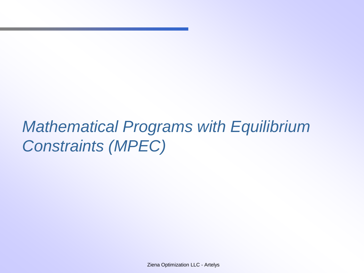# *Mathematical Programs with Equilibrium Constraints (MPEC)*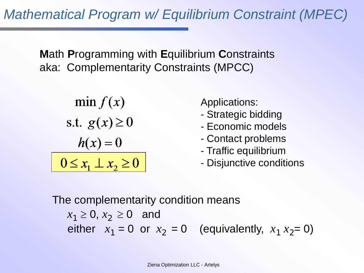*Mathematical Program w/ Equilibrium Constraint (MPEC)*

**M**ath **P**rogramming with **E**quilibrium **C**onstraints aka: Complementarity Constraints (MPCC)

$$
\min f(x)
$$
  
s.t.  $g(x) \ge 0$   

$$
h(x) = 0
$$
  

$$
0 \le x_1 \perp x_2 \ge 0
$$

Applications:

- Strategic bidding
- Economic models
- Contact problems
- Traffic equilibrium
- Disjunctive conditions

The complementarity condition means  $x_1 \ge 0, x_2 \ge 0$  and either  $x_1 = 0$  or  $x_2 = 0$  (equivalently,  $x_1 x_2 = 0$ )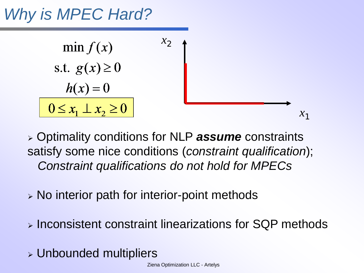# *Why is MPEC Hard?*



 Optimality conditions for NLP *assume* constraints satisfy some nice conditions (*constraint qualification*); *Constraint qualifications do not hold for MPECs*

- $\triangleright$  No interior path for interior-point methods
- Inconsistent constraint linearizations for SQP methods
- Unbounded multipliers

Ziena Optimization LLC - Artelys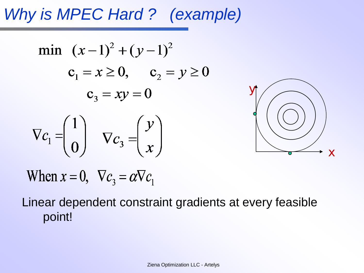# *Why is MPEC Hard ? (example)*

min 
$$
(x-1)^2 + (y-1)^2
$$
  
\n $c_1 = x \ge 0, \quad c_2 = y \ge 0$   
\n $c_3 = xy = 0$   
\n
$$
\nabla c_1 = \begin{pmatrix} 1 \\ 0 \end{pmatrix} \quad \nabla c_3 = \begin{pmatrix} y \\ x \end{pmatrix}
$$



When  $x = 0$ ,  $\nabla c_3 = \alpha \nabla c_1$ 

### Linear dependent constraint gradients at every feasible point!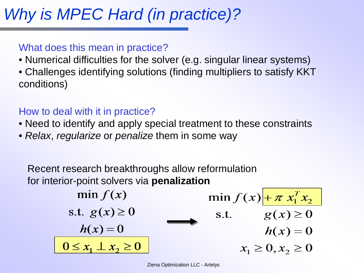# *Why is MPEC Hard (in practice)?*

#### What does this mean in practice?

- Numerical difficulties for the solver (e.g. singular linear systems)
- Challenges identifying solutions (finding multipliers to satisfy KKT conditions)

#### How to deal with it in practice?

- Need to identify and apply special treatment to these constraints
- *Relax*, *regularize* or *penalize* them in some way

Recent research breakthroughs allow reformulation for interior-point solvers via **penalization**

$$
\begin{array}{ll}\n\min f(x) & \min f(x) \frac{1 + \pi x_1^T x_2}{x_1 x_2} \\
\text{s.t. } g(x) \ge 0 & \text{s.t. } g(x) \ge 0 \\
\hline\nh(x) = 0 & h(x) = 0 \\
\hline\n0 \le x_1 \perp x_2 \ge 0 & x_1 \ge 0, x_2 \ge 0\n\end{array}
$$

Ziena Optimization LLC - Artelys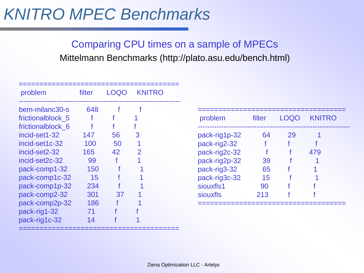### *KNITRO MPEC Benchmarks*

Comparing CPU times on a sample of MPECs Mittelmann Benchmarks (http://plato.asu.edu/bench.html)

| problem           | filter | LOQO | <b>KNITRO</b> |  |
|-------------------|--------|------|---------------|--|
| bem-milanc30-s    | 648    |      |               |  |
| frictionalblock 5 |        |      |               |  |
| frictionalblock 6 |        |      |               |  |
| incid-set1-32     | 147    | 56   | 3             |  |
| incid-set1c-32    | 100    | 50   |               |  |
| incid-set2-32     | 165    | 42   | 2             |  |
| incid-set2c-32    | 99     |      |               |  |
| pack-comp1-32     | 150    |      |               |  |
| pack-comp1c-32    | 15     |      |               |  |
| pack-comp1p-32    | 234    |      |               |  |
| pack-comp2-32     | 301    | 37   |               |  |
| pack-comp2p-32    | 186    |      |               |  |
| pack-rig1-32      | 71     |      |               |  |
| pack-rig1c-32     | 14     |      |               |  |

=======================================

| problem       | filter |    | LOQO KNITRO |
|---------------|--------|----|-------------|
| pack-rig1p-32 | 64     | 29 |             |
| pack-rig2-32  |        |    |             |
| pack-rig2c-32 |        |    | 479         |
| pack-rig2p-32 | 39     |    |             |
| pack-rig3-32  | 65     |    |             |
| pack-rig3c-32 | 15     |    |             |
| siouxfls1     | 90     |    |             |
| siouxfls      | 213    |    |             |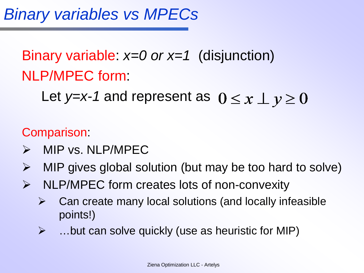## Binary variable: *x=0 or x=1* (disjunction) NLP/MPEC form:

Let *y=x-1* and represent as  $0 \le x \perp y \ge 0$ 

Comparison:

- $\triangleright$  MIP vs. NLP/MPEC
- $\triangleright$  MIP gives global solution (but may be too hard to solve)
- $\triangleright$  NLP/MPEC form creates lots of non-convexity
	- $\triangleright$  Can create many local solutions (and locally infeasible points!)
	- $\triangleright$  ... but can solve quickly (use as heuristic for MIP)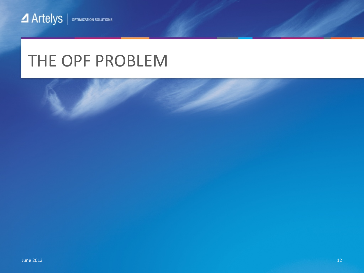### THE OPF PROBLEM

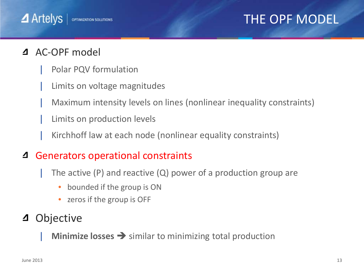### THE OPF MODEL

#### AC-OPF model

 $\blacktriangle$  Artelys

| Polar PQV formulation

**OPTIMIZATION SOLUTIONS** 

- Limits on voltage magnitudes
- | Maximum intensity levels on lines (nonlinear inequality constraints)
- Limits on production levels
- | Kirchhoff law at each node (nonlinear equality constraints)

#### 4 Generators operational constraints

- The active (P) and reactive  $(Q)$  power of a production group are
	- bounded if the group is ON
	- zeros if the group is OFF

#### **Objective** 4

**Minimize losses**  $\rightarrow$  similar to minimizing total production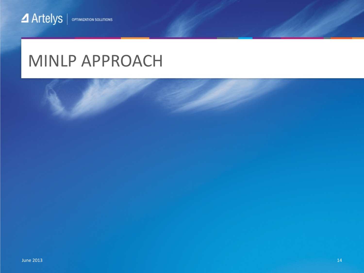### MINLP APPROACH

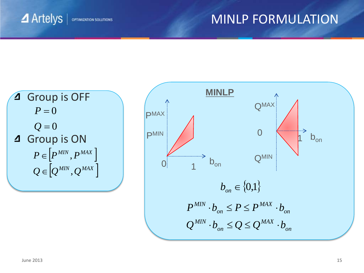#### MINLP FORMULATION

**4** Artelys **OPTIMIZATION SOLUTIONS** 

#### Group is OFF 4  $P = 0$  $Q=0$ 4 Group is ON  $P \in \left| {{P}^{MIN}},{P}^{MAX} \; \right|$  $\mathcal{Q} \in \left| \mathcal{Q}^{MIN}, \mathcal{Q}^{MAX} \right|$

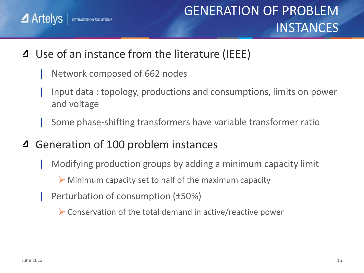$\blacktriangle$  Artelys **OPTIMIZATION SOLUTIONS** 

- Use of an instance from the literature (IEEE)  $\Delta$ 
	- Network composed of 662 nodes
	- | Input data : topology, productions and consumptions, limits on power and voltage
	- | Some phase-shifting transformers have variable transformer ratio
- Generation of 100 problem instances  $\Delta$ 
	- | Modifying production groups by adding a minimum capacity limit
		- $\triangleright$  Minimum capacity set to half of the maximum capacity
		- | Perturbation of consumption (±50%)
			- $\triangleright$  Conservation of the total demand in active/reactive power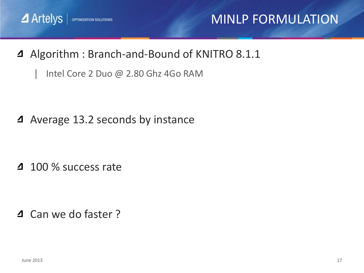

### MINLP FORMULATION

- 4 Algorithm : Branch-and-Bound of KNITRO 8.1.1
	- Intel Core 2 Duo @ 2.80 Ghz 4Go RAM

4 Average 13.2 seconds by instance

4 100 % success rate

4 Can we do faster?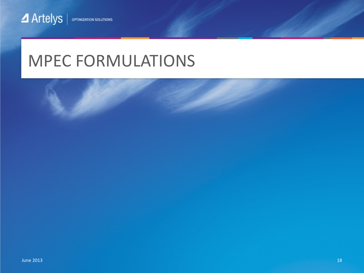### MPEC FORMULATIONS

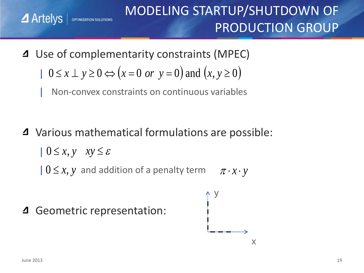### MODELING STARTUP/SHUTDOWN OF PRODUCTION GROUP

Use of complementarity constraints (MPEC) | 0≤ *x* ⊥ *y* ≥ 0 ⇔ (*x* = 0 *or y* = 0) and (*x*, *y* ≥ 0)

| Non-convex constraints on continuous variables

Various mathematical formulations are possible:

$$
0 \le x, y \quad xy \le \varepsilon
$$

**OPTIMIZATION SOLUTIONS** 

 $|0 \leq x, y$  and addition of a penalty term  $\pi \cdot x \cdot y$ 

Geometric representation:



 $\blacktriangle$  Artelys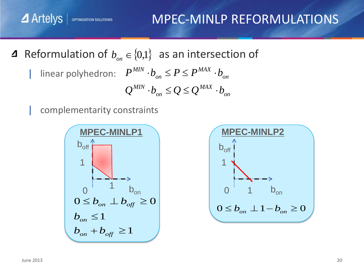Artelys | OPTIMIZATION SOLUTIONS MPEC-MINLP REFORMULATIONS

Reformulation of  $b_{on} \in \{0,1\}$  as an intersection of

| linear polyhedron:  $P^{MIN} \cdot b_{on} \le P \le P^{MAX} \cdot b_{on}$ *on MAX on*  $Q^{MIN} \cdot b_{_{on}} \leq Q \leq Q^{MAX} \cdot b_{_{off}}$ *MAX on*  $P^{MIN} \cdot b_{_{on}} \leq P \leq P^{MAX} \cdot b_{_{off}}$ 

complementarity constraints



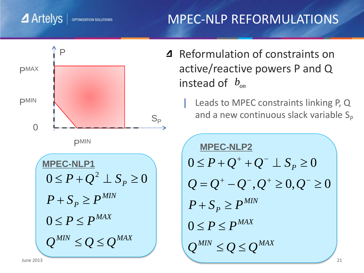### MPEC-NLP REFORMULATIONS



OPTIMIZATION SOLUTIONS

4 Reformulation of constraints on active/reactive powers P and Q instead of  $b_{\scriptscriptstyle on}$ 

> Leads to MPEC constraints linking P, Q and a new continuous slack variable  $S_p$

```
\boldsymbol{Q}^{MIN} \leq \boldsymbol{Q} \leq \boldsymbol{Q}^{MAX}0 \leq P \leq P^{MAX}MIN
P + S_p \geq P0 \leq P + Q^+ + Q^- \perp S_P \geq 0Q = Q^+ - Q^-, Q^+ \ge 0, Q^- \ge 0MPEC-NLP2
```
 $\blacktriangle$  Artelys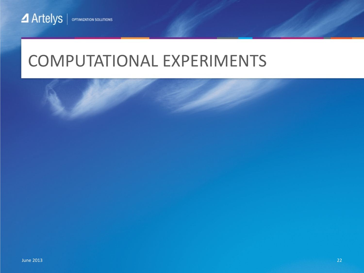### COMPUTATIONAL EXPERIMENTS

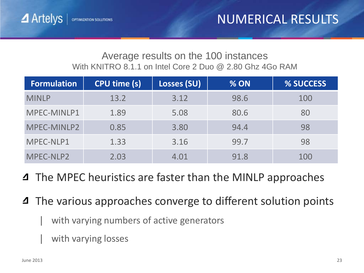#### Average results on the 100 instances With KNITRO 8.1.1 on Intel Core 2 Duo @ 2.80 Ghz 4Go RAM

| <b>Formulation</b> | <b>CPU time (s)</b> | Losses (SU) | % ON | % SUCCESS |
|--------------------|---------------------|-------------|------|-----------|
| <b>MINLP</b>       | 13.2                | 3.12        | 98.6 | 100       |
| MPEC-MINLP1        | 1.89                | 5.08        | 80.6 | 80        |
| MPEC-MINLP2        | 0.85                | 3.80        | 94.4 | 98        |
| MPEC-NLP1          | 1.33                | 3.16        | 99.7 | 98        |
| MPEC-NLP2          | 2.03                | 4.01        | 91.8 | 100       |

- **4** The MPEC heuristics are faster than the MINLP approaches
- The various approaches converge to different solution points
	- with varying numbers of active generators
	- with varying losses

**OPTIMIZATION SOLUTIONS** 

**4** Artelys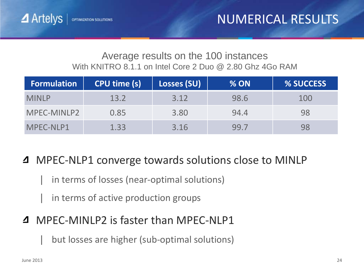#### Average results on the 100 instances With KNITRO 8.1.1 on Intel Core 2 Duo @ 2.80 Ghz 4Go RAM

| <b>Formulation</b> | CPU time (s) |      | % ON | % SUCCESS |
|--------------------|--------------|------|------|-----------|
| <b>MINLP</b>       | 13.2         | 3.12 | 98.6 | 100       |
| MPEC-MINLP2        | 0.85         | 3.80 | 94.4 | 98        |
| MPEC-NLP1          | 1.33         | 3.16 | 99.7 | 98        |

#### MPEC-NLP1 converge towards solutions close to MINLP ◢

- in terms of losses (near-optimal solutions)
- in terms of active production groups

#### MPEC-MINLP2 is faster than MPEC-NLP1

but losses are higher (sub-optimal solutions)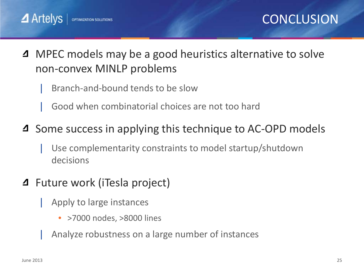

- MPEC models may be a good heuristics alternative to solve  $\Delta$ non-convex MINLP problems
	- | Branch-and-bound tends to be slow
	- | Good when combinatorial choices are not too hard
- 4 Some success in applying this technique to AC-OPD models
	- Use complementarity constraints to model startup/shutdown decisions
- Future work (iTesla project)
	- | Apply to large instances
		- >7000 nodes, >8000 lines
	- | Analyze robustness on a large number of instances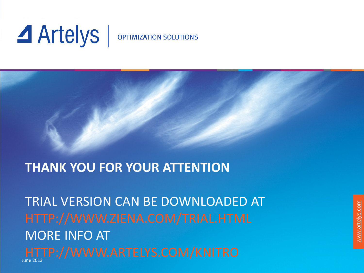# **4** Artelys

#### **OPTIMIZATION SOLUTIONS**

### **THANK YOU FOR YOUR ATTENTION**

TRIAL VERSION CAN BE DOWNLOADED AT MORE INFO AT June 2013